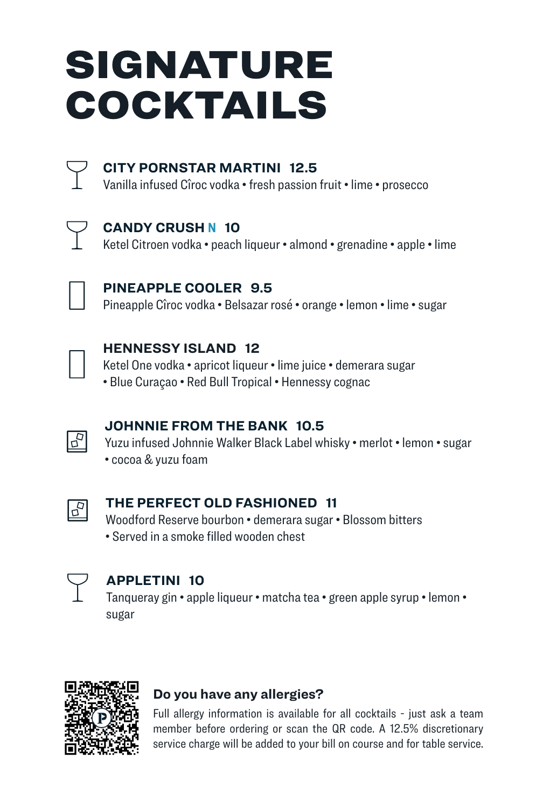## SIGNATURE COCKTAILS



#### **CITY PORNSTAR MARTINI 12.5**

Vanilla infused Cîroc vodka • fresh passion fruit • lime • prosecco



#### **CANDY CRUSH N 10**

Ketel Citroen vodka • peach liqueur • almond • grenadine • apple • lime



#### **PINEAPPLE COOLER 9.5**

Pineapple Cîroc vodka • Belsazar rosé • orange • lemon • lime • sugar



#### **HENNESSY ISLAND 12**

Ketel One vodka • apricot liqueur • lime juice • demerara sugar

• Blue Curaçao • Red Bull Tropical • Hennessy cognac



#### **JOHNNIE FROM THE BANK 10.5**

Yuzu infused Johnnie Walker Black Label whisky • merlot • lemon • sugar • cocoa & yuzu foam



#### **THE PERFECT OLD FASHIONED 11**

Woodford Reserve bourbon • demerara sugar • Blossom bitters • Served in a smoke filled wooden chest



#### **APPLETINI 10**

Tanqueray gin • apple liqueur • matcha tea • green apple syrup • lemon • sugar



#### **Do you have any allergies?**

Full allergy information is available for all cocktails - just ask a team member before ordering or scan the QR code. A 12.5% discretionary service charge will be added to your bill on course and for table service.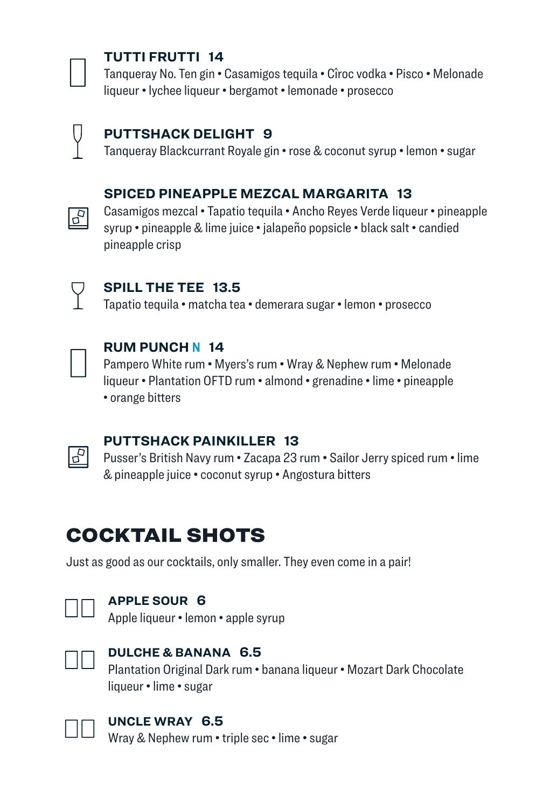

#### **TUTTI FRUTTI 14**

Tanqueray No. Ten gin • Casamigos tequila • Cîroc vodka • Pisco • Melonade liqueur • lychee liqueur • bergamot • lemonade • prosecco



#### **PUTTSHACK DELIGHT 9**

Tanqueray Blackcurrant Royale gin • rose & coconut syrup • lemon • sugar

#### **SPICED PINEAPPLE MEZCAL MARGARITA 13**

Casamigos mezcal • Tapatio tequila • Ancho Reyes Verde liqueur • pineapple syrup • pineapple & lime juice • jalapeño popsicle • black salt • candied pineapple crisp



 $\sqrt{5}$ 

#### **SPILL THE TEE 13.5**

Tapatio tequila • matcha tea • demerara sugar • lemon • prosecco



 $\mathbb{F}$ 

#### **RUM PUNCH N 14**

Pampero White rum • Myers's rum • Wray & Nephew rum • Melonade liqueur • Plantation OFTD rum • almond • grenadine • lime • pineapple • orange bitters

#### **PUTTSHACK PAINKILLER 13**

Pusser's British Navy rum • Zacapa 23 rum • Sailor Jerry spiced rum • lime & pineapple juice • coconut syrup • Angostura bitters

## COCKTAIL SHOTS

Just as good as our cocktails, only smaller. They even come in a pair!



#### **APPLE SOUR 6**

Apple liqueur • lemon • apple syrup



#### **DULCHE & BANANA 6.5**

Plantation Original Dark rum • banana liqueur • Mozart Dark Chocolate liqueur • lime • sugar



#### **UNCLE WRAY 6.5**

Wray & Nephew rum • triple sec • lime • sugar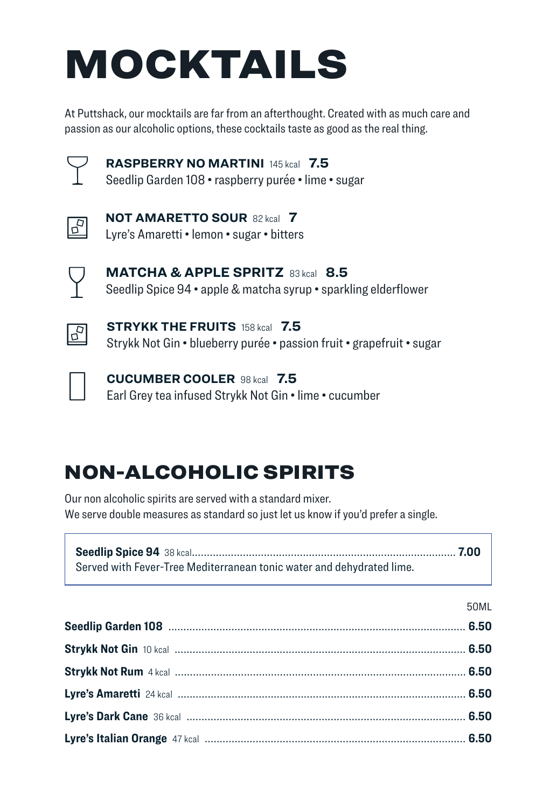## MOCKTAILS

At Puttshack, our mocktails are far from an afterthought. Created with as much care and passion as our alcoholic options, these cocktails taste as good as the real thing.



**RASPBERRY NO MARTINI** 145 kcal **7.5**

Seedlip Garden 108 • raspberry purée • lime • sugar



**NOT AMARETTO SOUR** 82 kcal **7** Lyre's Amaretti • lemon • sugar • bitters



**MATCHA & APPLE SPRITZ** 83 kcal **8.5** Seedlip Spice 94 • apple & matcha syrup • sparkling elderflower



**STRYKK THE FRUITS** 158 kcal **7.5** Strykk Not Gin • blueberry purée • passion fruit • grapefruit • sugar



**CUCUMBER COOLER** 98 kcal **7.5** Earl Grey tea infused Strykk Not Gin • lime • cucumber

## NON-ALCOHOLIC SPIRITS

Our non alcoholic spirits are served with a standard mixer. We serve double measures as standard so just let us know if you'd prefer a single.

| Served with Fever-Tree Mediterranean tonic water and dehydrated lime. |  |
|-----------------------------------------------------------------------|--|

| P.<br>$\sim$<br>$\sim$ $\sim$ $\sim$ $\sim$ $\sim$ $\sim$ |  |
|-----------------------------------------------------------|--|
|-----------------------------------------------------------|--|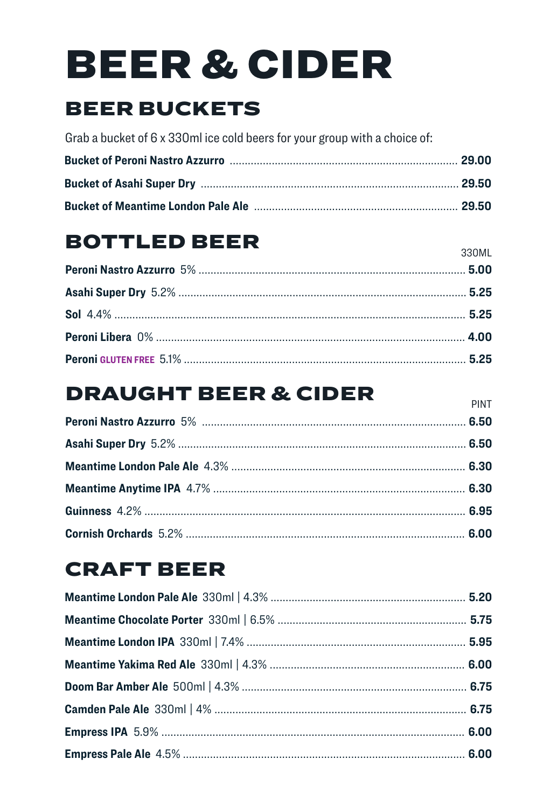# **BEER & CIDER**

## **BEER BUCKETS**

Grab a bucket of 6 x 330ml ice cold beers for your group with a choice of:

## **BOTTLED BEER**

330MI

**PINT** 

## **DRAUGHT BEER & CIDER**

## **CRAFT BEER**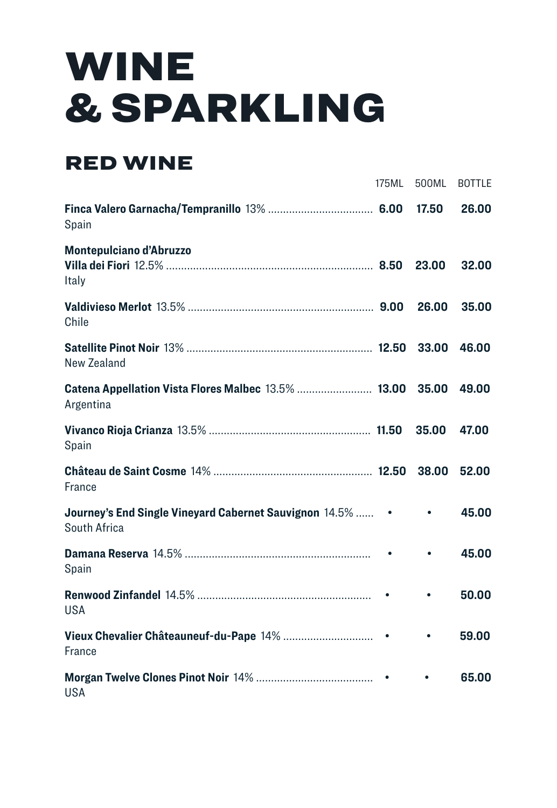## WINE & SPARKLING

## RED WINE

|                                                                                 | 175ML | 500ML     | <b>BOTTLE</b> |
|---------------------------------------------------------------------------------|-------|-----------|---------------|
| Spain                                                                           |       | 17.50     | 26.00         |
| <b>Montepulciano d'Abruzzo</b><br>Italy                                         |       | 23.00     | 32.00         |
| Chile                                                                           |       | 26.00     | 35.00         |
| New Zealand                                                                     |       | 33.00     | 46.00         |
| Catena Appellation Vista Flores Malbec 13.5%  13.00<br>Argentina                |       | 35.00     | 49.00         |
| Spain                                                                           |       | 35.00     | 47.00         |
| France                                                                          |       | 38.00     | 52.00         |
| Journey's End Single Vineyard Cabernet Sauvignon 14.5%  • • • •<br>South Africa |       |           | 45.00         |
| Spain                                                                           |       | $\bullet$ | 45.00         |
| <b>USA</b>                                                                      |       |           | 50.00         |
| France                                                                          |       | $\bullet$ | 59.00         |
| <b>USA</b>                                                                      |       |           | 65.00         |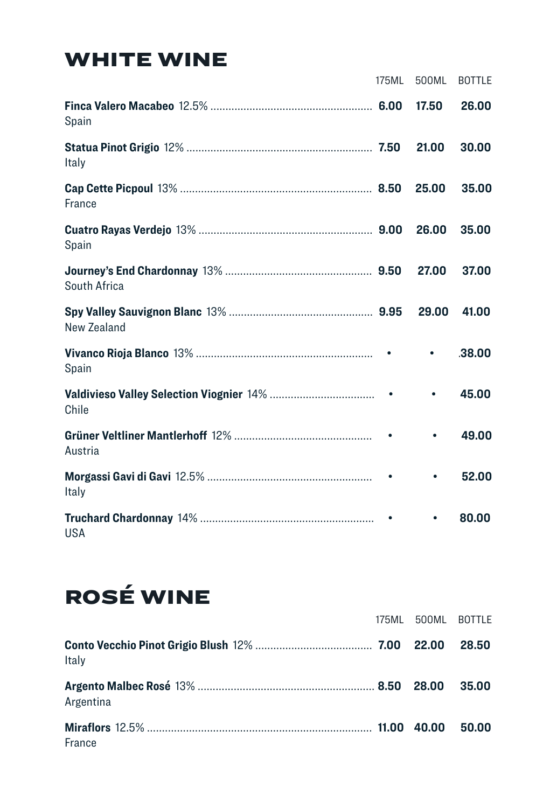## WHITE WINE

|              | 175ML | 500ML     | <b>BOTTLE</b> |
|--------------|-------|-----------|---------------|
| Spain        |       | 17.50     | 26.00         |
| Italy        |       | 21.00     | 30.00         |
| France       |       | 25.00     | 35.00         |
| Spain        |       | 26.00     | 35,00         |
| South Africa |       | 27.00     | 37.00         |
| New Zealand  |       | 29.00     | 41.00         |
| Spain        |       | $\bullet$ | .38.00        |
| Chile        |       | $\bullet$ | 45.00         |
| Austria      |       | $\bullet$ | 49.00         |
| Italy        |       |           | 52.00         |
| <b>USA</b>   |       |           | 80.00         |

## ROSÉ WINE

|           | 175ML 500ML BOTTLE |       |
|-----------|--------------------|-------|
| Italy     |                    | 28.50 |
| Argentina |                    | 35.00 |
| France    |                    | 50.00 |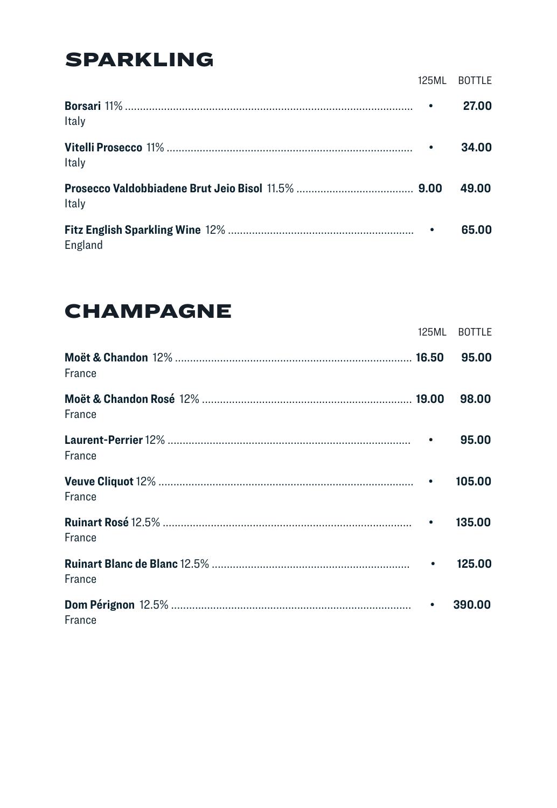## **SPARKLING**

|         | 125ML | <b>BOTTLE</b> |
|---------|-------|---------------|
| Italy   |       | 27.00         |
| Italy   |       | 34.00         |
| Italy   |       | 49.00         |
| England |       | 65.00         |

## **CHAMPAGNE**

|        |           | 125ML BOTTLE |
|--------|-----------|--------------|
| France |           | 95.00        |
| France |           | 98.00        |
| France |           | 95.00        |
| France |           | 105.00       |
| France |           | 135.00       |
| France |           | 125.00       |
| France | $\bullet$ | 390.00       |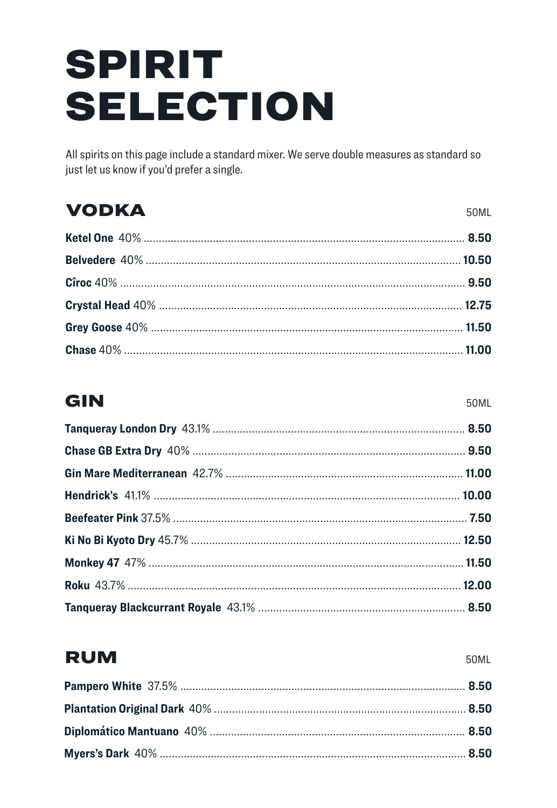## **SPIRIT SELECTION**

All spirits on this page include a standard mixer. We serve double measures as standard so just let us know if you'd prefer a single.

## **VODKA**

#### GIN

50ML

## **RUM**

**50ML**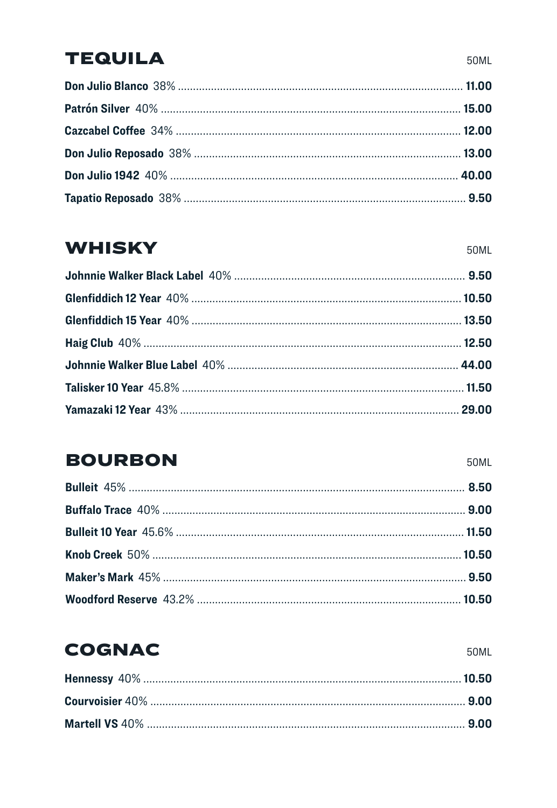## **TEQUILA**

#### **WHISKY**

## **BOURBON**

#### **COGNAC**

50ML

50ML

50ML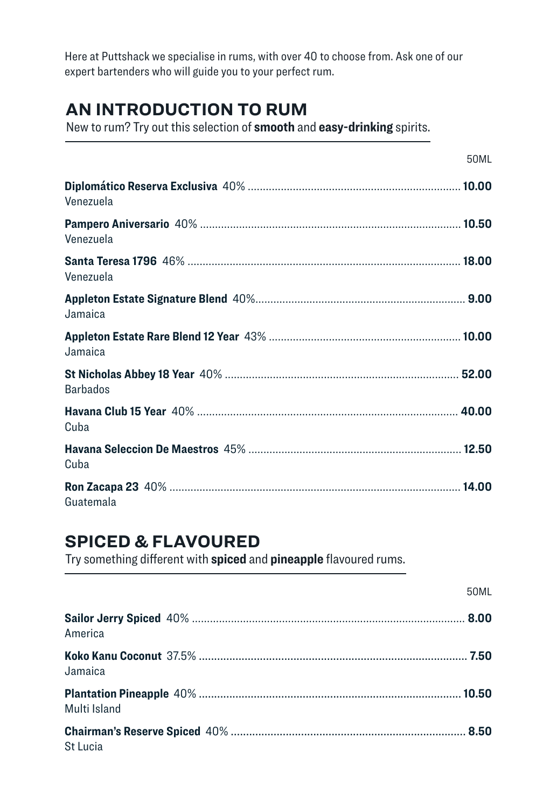Here at Puttshack we specialise in rums, with over 40 to choose from. Ask one of our expert bartenders who will guide you to your perfect rum.

#### **AN INTRODUCTION TO RUM**

New to rum? Try out this selection of **smooth** and **easy-drinking** spirits.

|                 | 50ML |
|-----------------|------|
| Venezuela       |      |
| Venezuela       |      |
| Venezuela       |      |
| Jamaica         |      |
| Jamaica         |      |
| <b>Barbados</b> |      |
| Cuba            |      |
| Cuba            |      |
| Guatemala       |      |

#### **SPICED & FLAVOURED**

Try something different with **spiced** and **pineapple** flavoured rums.

|              | 50ML |
|--------------|------|
| America      |      |
| Jamaica      |      |
| Multi Island |      |
| St Lucia     |      |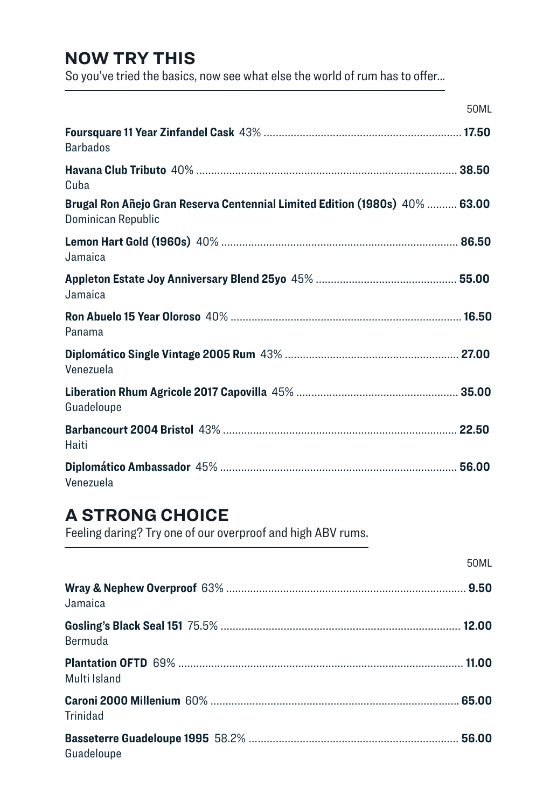#### **NOW TRY THIS**

So you've tried the basics, now see what else the world of rum has to offer...

| 50ML                                                                                              |  |
|---------------------------------------------------------------------------------------------------|--|
| <b>Barbados</b>                                                                                   |  |
| Cuba                                                                                              |  |
| Brugal Ron Añejo Gran Reserva Centennial Limited Edition (1980s) 40%  63.00<br>Dominican Republic |  |
| Jamaica                                                                                           |  |
| Jamaica                                                                                           |  |
| Panama                                                                                            |  |
| Venezuela                                                                                         |  |
| Guadeloupe                                                                                        |  |
| Haiti                                                                                             |  |
| Venezuela                                                                                         |  |

#### **A STRONG CHOICE**

Feeling daring? Try one of our overproof and high ABV rums.

|              | 50ML |
|--------------|------|
| Jamaica      |      |
| Bermuda      |      |
| Multi Island |      |
| Trinidad     |      |
| Guadeloupe   |      |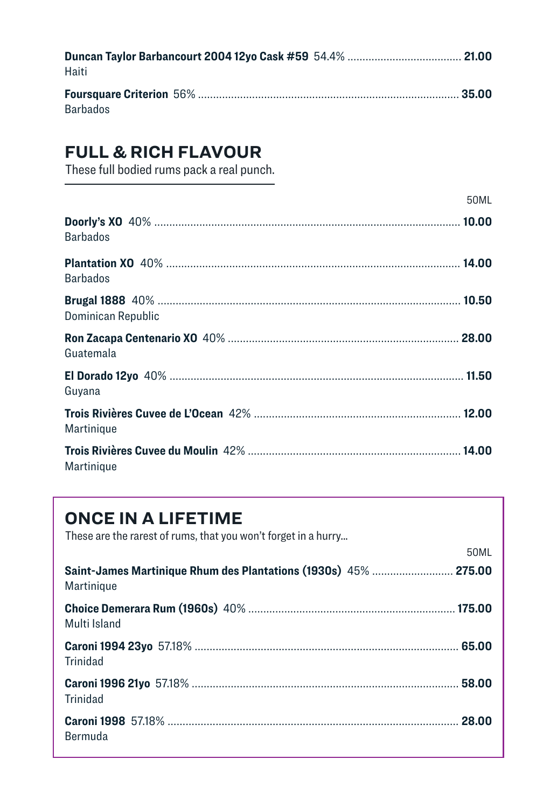| Haiti |  |
|-------|--|
|       |  |

Barbados

#### **FULL & RICH FLAVOUR**

These full bodied rums pack a real punch.

|                    | 50ML |
|--------------------|------|
| <b>Barbados</b>    |      |
| <b>Barbados</b>    |      |
| Dominican Republic |      |
| Guatemala          |      |
| Guyana             |      |
| Martinique         |      |
| Martinique         |      |

#### **ONCE IN A LIFETIME**

These are the rarest of rums, that you won't forget in a hurry...

| Saint-James Martinique Rhum des Plantations (1930s) 45%  275.00<br>Martinique | JUNIL |
|-------------------------------------------------------------------------------|-------|
| Multi Island                                                                  |       |
| Trinidad                                                                      |       |
| Trinidad                                                                      |       |
| Bermuda                                                                       |       |

50ML